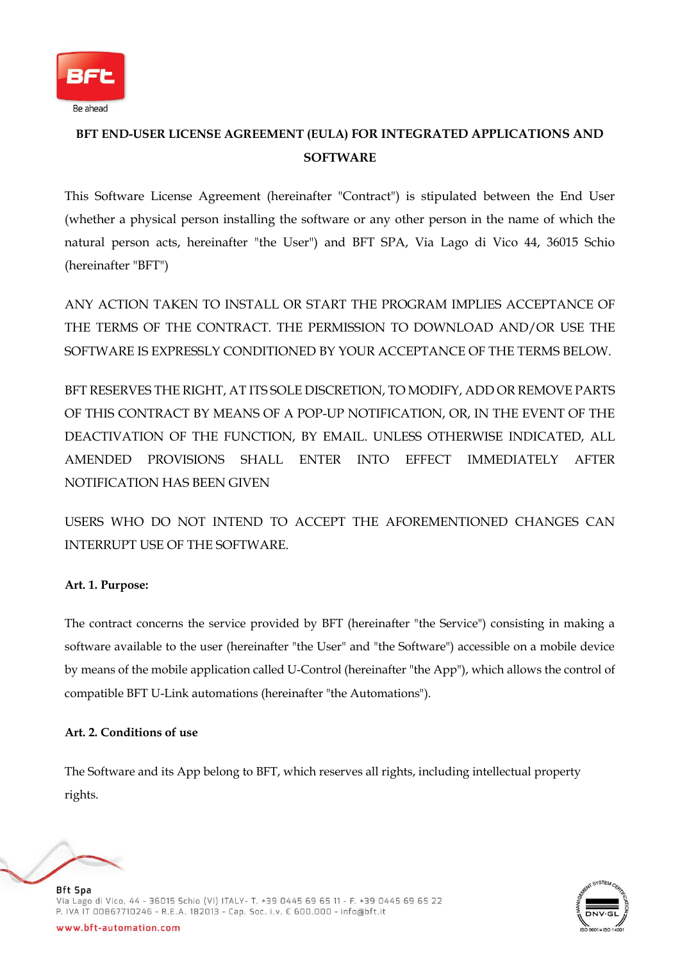

# **BFT END-USER LICENSE AGREEMENT (EULA) FOR INTEGRATED APPLICATIONS AND SOFTWARE**

This Software License Agreement (hereinafter "Contract") is stipulated between the End User (whether a physical person installing the software or any other person in the name of which the natural person acts, hereinafter "the User") and BFT SPA, Via Lago di Vico 44, 36015 Schio (hereinafter "BFT")

ANY ACTION TAKEN TO INSTALL OR START THE PROGRAM IMPLIES ACCEPTANCE OF THE TERMS OF THE CONTRACT. THE PERMISSION TO DOWNLOAD AND/OR USE THE SOFTWARE IS EXPRESSLY CONDITIONED BY YOUR ACCEPTANCE OF THE TERMS BELOW.

BFT RESERVES THE RIGHT, AT ITS SOLE DISCRETION, TO MODIFY, ADD OR REMOVE PARTS OF THIS CONTRACT BY MEANS OF A POP-UP NOTIFICATION, OR, IN THE EVENT OF THE DEACTIVATION OF THE FUNCTION, BY EMAIL. UNLESS OTHERWISE INDICATED, ALL AMENDED PROVISIONS SHALL ENTER INTO EFFECT IMMEDIATELY AFTER NOTIFICATION HAS BEEN GIVEN

USERS WHO DO NOT INTEND TO ACCEPT THE AFOREMENTIONED CHANGES CAN INTERRUPT USE OF THE SOFTWARE.

# **Art. 1. Purpose:**

The contract concerns the service provided by BFT (hereinafter "the Service") consisting in making a software available to the user (hereinafter "the User" and "the Software") accessible on a mobile device by means of the mobile application called U-Control (hereinafter "the App"), which allows the control of compatible BFT U-Link automations (hereinafter "the Automations").

### **Art. 2. Conditions of use**

The Software and its App belong to BFT, which reserves all rights, including intellectual property rights.



**Bft Spa** Via Lago di Vico, 44 - 36015 Schio (VI) ITALY- T. +39 0445 69 65 11 - F. +39 0445 69 65 22 P. IVA IT 00867710246 - R.E.A. 182013 - Cap. Soc. I.v. € 600.000 - info@bft.it

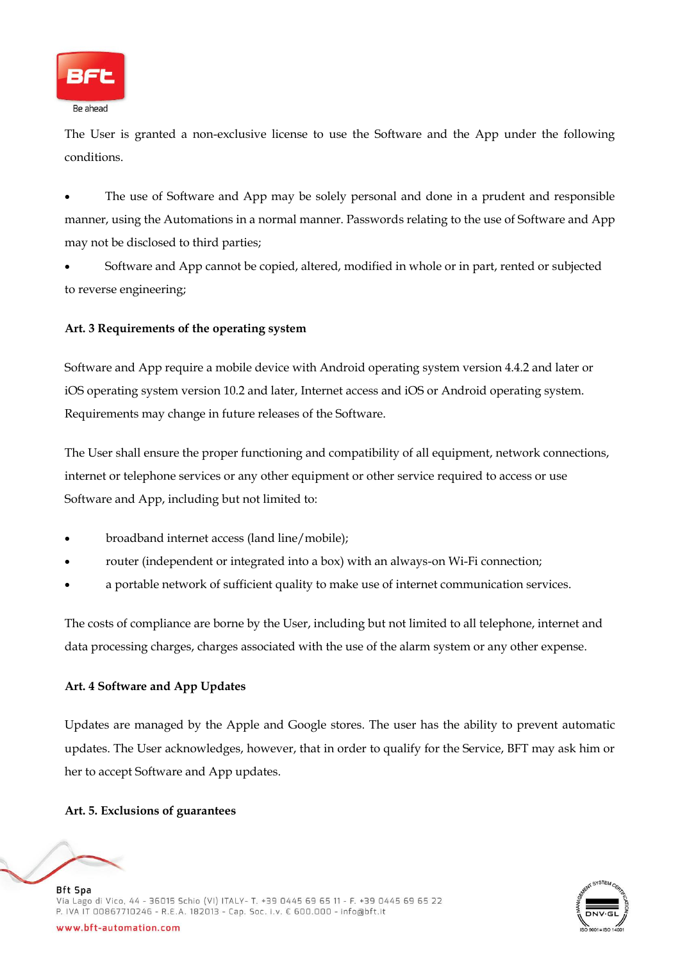

The User is granted a non-exclusive license to use the Software and the App under the following conditions.

• The use of Software and App may be solely personal and done in a prudent and responsible manner, using the Automations in a normal manner. Passwords relating to the use of Software and App may not be disclosed to third parties;

• Software and App cannot be copied, altered, modified in whole or in part, rented or subjected to reverse engineering;

### **Art. 3 Requirements of the operating system**

Software and App require a mobile device with Android operating system version 4.4.2 and later or iOS operating system version 10.2 and later, Internet access and iOS or Android operating system. Requirements may change in future releases of the Software.

The User shall ensure the proper functioning and compatibility of all equipment, network connections, internet or telephone services or any other equipment or other service required to access or use Software and App, including but not limited to:

- broadband internet access (land line/mobile);
- router (independent or integrated into a box) with an always-on Wi-Fi connection;
- a portable network of sufficient quality to make use of internet communication services.

The costs of compliance are borne by the User, including but not limited to all telephone, internet and data processing charges, charges associated with the use of the alarm system or any other expense.

### **Art. 4 Software and App Updates**

Updates are managed by the Apple and Google stores. The user has the ability to prevent automatic updates. The User acknowledges, however, that in order to qualify for the Service, BFT may ask him or her to accept Software and App updates.

### **Art. 5. Exclusions of guarantees**



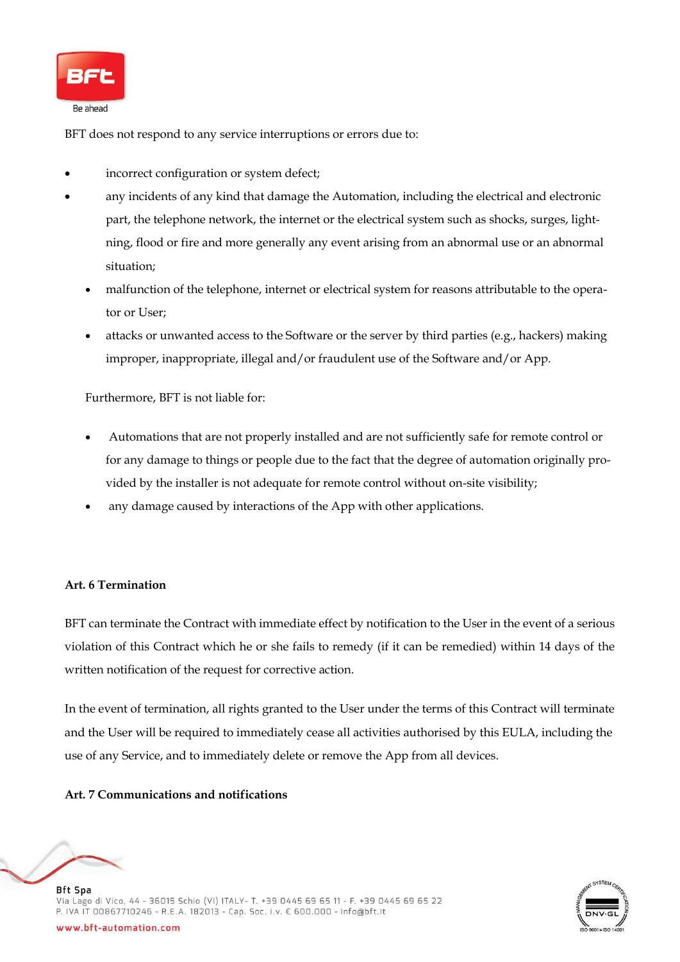

BFT does not respond to any service interruptions or errors due to:

- incorrect configuration or system defect;
- any incidents of any kind that damage the Automation, including the electrical and electronic part, the telephone network, the internet or the electrical system such as shocks, surges, lightning, flood or fire and more generally any event arising from an abnormal use or an abnormal situation;
	- malfunction of the telephone, internet or electrical system for reasons attributable to the operator or User;
	- attacks or unwanted access to the Software or the server by third parties (e.g., hackers) making improper, inappropriate, illegal and/or fraudulent use of the Software and/or App.

Furthermore, BFT is not liable for:

- Automations that are not properly installed and are not sufficiently safe for remote control or for any damage to things or people due to the fact that the degree of automation originally provided by the installer is not adequate for remote control without on-site visibility;
- any damage caused by interactions of the App with other applications.

### **Art. 6 Termination**

BFT can terminate the Contract with immediate effect by notification to the User in the event of a serious violation of this Contract which he or she fails to remedy (if it can be remedied) within 14 days of the written notification of the request for corrective action.

In the event of termination, all rights granted to the User under the terms of this Contract will terminate and the User will be required to immediately cease all activities authorised by this EULA, including the use of any Service, and to immediately delete or remove the App from all devices.

#### **Art. 7 Communications and notifications**



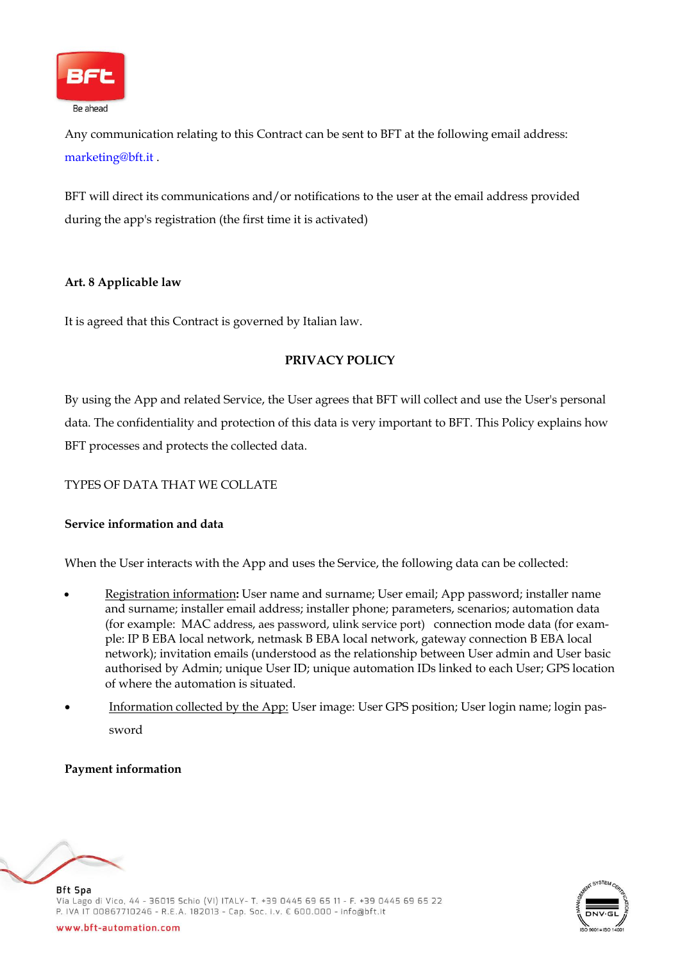

Any communication relating to this Contract can be sent to BFT at the following email address: [marketing@bft.it](mailto:marketing@bft.it) .

BFT will direct its communications and/or notifications to the user at the email address provided during the app's registration (the first time it is activated)

### **Art. 8 Applicable law**

It is agreed that this Contract is governed by Italian law.

# **PRIVACY POLICY**

By using the App and related Service, the User agrees that BFT will collect and use the User's personal data. The confidentiality and protection of this data is very important to BFT. This Policy explains how BFT processes and protects the collected data.

# TYPES OF DATA THAT WE COLLATE

### **Service information and data**

When the User interacts with the App and uses the Service, the following data can be collected:

- Registration information**:** User name and surname; User email; App password; installer name and surname; installer email address; installer phone; parameters, scenarios; automation data (for example: MAC address, aes password, ulink service port) connection mode data (for example: IP B EBA local network, netmask B EBA local network, gateway connection B EBA local network); invitation emails (understood as the relationship between User admin and User basic authorised by Admin; unique User ID; unique automation IDs linked to each User; GPS location of where the automation is situated.
- Information collected by the App: User image: User GPS position; User login name; login password

### **Payment information**



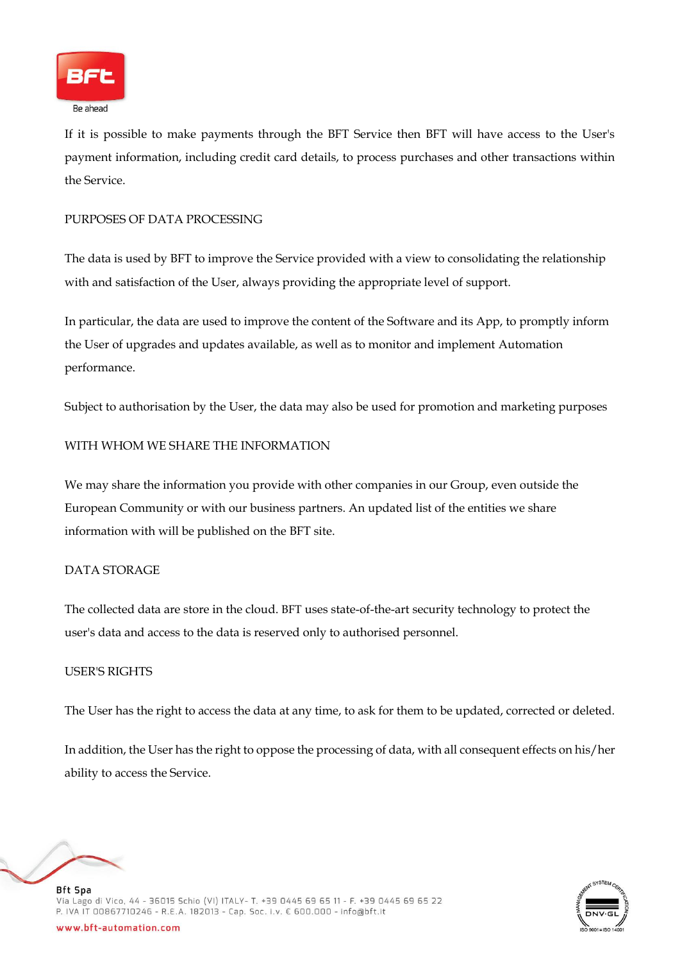

If it is possible to make payments through the BFT Service then BFT will have access to the User's payment information, including credit card details, to process purchases and other transactions within the Service.

### PURPOSES OF DATA PROCESSING

The data is used by BFT to improve the Service provided with a view to consolidating the relationship with and satisfaction of the User, always providing the appropriate level of support.

In particular, the data are used to improve the content of the Software and its App, to promptly inform the User of upgrades and updates available, as well as to monitor and implement Automation performance.

Subject to authorisation by the User, the data may also be used for promotion and marketing purposes

#### WITH WHOM WE SHARE THE INFORMATION

We may share the information you provide with other companies in our Group, even outside the European Community or with our business partners. An updated list of the entities we share information with will be published on the BFT site.

### DATA STORAGE

The collected data are store in the cloud. BFT uses state-of-the-art security technology to protect the user's data and access to the data is reserved only to authorised personnel.

#### USER'S RIGHTS

The User has the right to access the data at any time, to ask for them to be updated, corrected or deleted.

In addition, the User has the right to oppose the processing of data, with all consequent effects on his/her ability to access the Service.